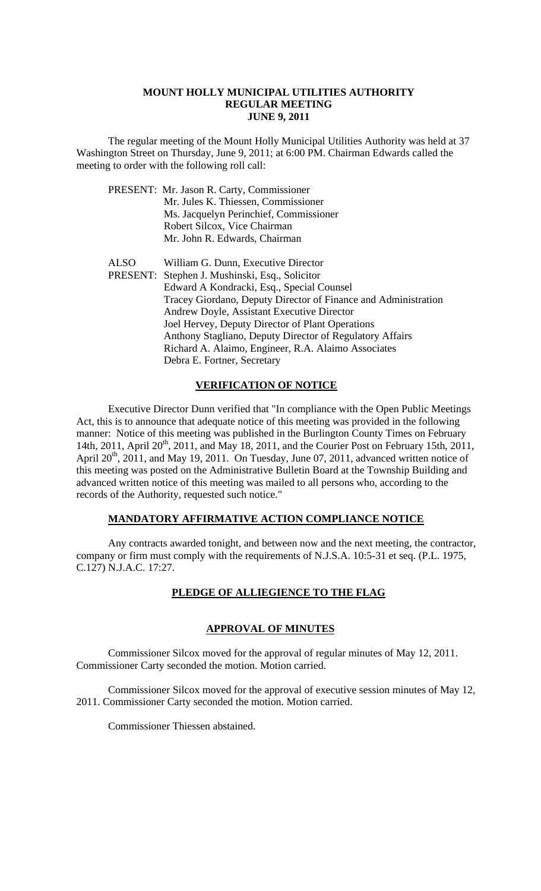#### **MOUNT HOLLY MUNICIPAL UTILITIES AUTHORITY REGULAR MEETING JUNE 9, 2011**

 The regular meeting of the Mount Holly Municipal Utilities Authority was held at 37 Washington Street on Thursday, June 9, 2011; at 6:00 PM. Chairman Edwards called the meeting to order with the following roll call:

|             | PRESENT: Mr. Jason R. Carty, Commissioner                      |
|-------------|----------------------------------------------------------------|
|             | Mr. Jules K. Thiessen, Commissioner                            |
|             | Ms. Jacquelyn Perinchief, Commissioner                         |
|             | Robert Silcox, Vice Chairman                                   |
|             | Mr. John R. Edwards, Chairman                                  |
| <b>ALSO</b> | William G. Dunn, Executive Director                            |
|             | PRESENT: Stephen J. Mushinski, Esq., Solicitor                 |
|             | Edward A Kondracki, Esq., Special Counsel                      |
|             | Tracey Giordano, Deputy Director of Finance and Administration |
|             | Andrew Doyle, Assistant Executive Director                     |
|             | Joel Hervey, Deputy Director of Plant Operations               |
|             | Anthony Stagliano, Deputy Director of Regulatory Affairs       |
|             | Richard A. Alaimo, Engineer, R.A. Alaimo Associates            |
|             | Debra E. Fortner, Secretary                                    |
|             |                                                                |

## **VERIFICATION OF NOTICE**

 Executive Director Dunn verified that "In compliance with the Open Public Meetings Act, this is to announce that adequate notice of this meeting was provided in the following manner: Notice of this meeting was published in the Burlington County Times on February 14th, 2011, April 20<sup>th</sup>, 2011, and May 18, 2011, and the Courier Post on February 15th, 2011, April  $20^{th}$ ,  $2011$ , and May 19, 2011. On Tuesday, June 07, 2011, advanced written notice of this meeting was posted on the Administrative Bulletin Board at the Township Building and advanced written notice of this meeting was mailed to all persons who, according to the records of the Authority, requested such notice."

## **MANDATORY AFFIRMATIVE ACTION COMPLIANCE NOTICE**

 Any contracts awarded tonight, and between now and the next meeting, the contractor, company or firm must comply with the requirements of N.J.S.A. 10:5-31 et seq. (P.L. 1975, C.127) N.J.A.C. 17:27.

# **PLEDGE OF ALLIEGIENCE TO THE FLAG**

### **APPROVAL OF MINUTES**

Commissioner Silcox moved for the approval of regular minutes of May 12, 2011. Commissioner Carty seconded the motion. Motion carried.

Commissioner Silcox moved for the approval of executive session minutes of May 12, 2011. Commissioner Carty seconded the motion. Motion carried.

Commissioner Thiessen abstained.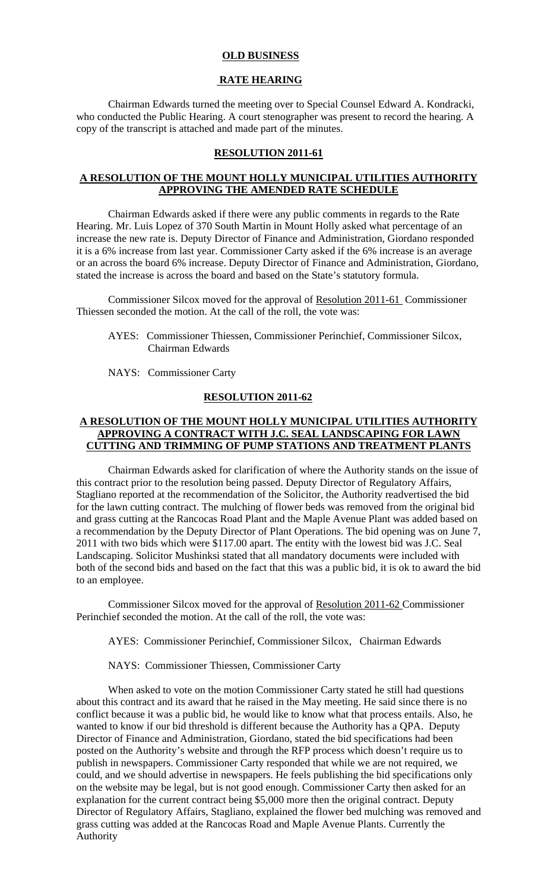### **OLD BUSINESS**

#### **RATE HEARING**

Chairman Edwards turned the meeting over to Special Counsel Edward A. Kondracki, who conducted the Public Hearing. A court stenographer was present to record the hearing. A copy of the transcript is attached and made part of the minutes.

### **RESOLUTION 2011-61**

# **A RESOLUTION OF THE MOUNT HOLLY MUNICIPAL UTILITIES AUTHORITY APPROVING THE AMENDED RATE SCHEDULE**

 Chairman Edwards asked if there were any public comments in regards to the Rate Hearing. Mr. Luis Lopez of 370 South Martin in Mount Holly asked what percentage of an increase the new rate is. Deputy Director of Finance and Administration, Giordano responded it is a 6% increase from last year. Commissioner Carty asked if the 6% increase is an average or an across the board 6% increase. Deputy Director of Finance and Administration, Giordano, stated the increase is across the board and based on the State's statutory formula.

Commissioner Silcox moved for the approval of Resolution 2011-61 Commissioner Thiessen seconded the motion. At the call of the roll, the vote was:

AYES: Commissioner Thiessen, Commissioner Perinchief, Commissioner Silcox, Chairman Edwards

NAYS: Commissioner Carty

## **RESOLUTION 2011-62**

## **A RESOLUTION OF THE MOUNT HOLLY MUNICIPAL UTILITIES AUTHORITY APPROVING A CONTRACT WITH J.C. SEAL LANDSCAPING FOR LAWN CUTTING AND TRIMMING OF PUMP STATIONS AND TREATMENT PLANTS**

 Chairman Edwards asked for clarification of where the Authority stands on the issue of this contract prior to the resolution being passed. Deputy Director of Regulatory Affairs, Stagliano reported at the recommendation of the Solicitor, the Authority readvertised the bid for the lawn cutting contract. The mulching of flower beds was removed from the original bid and grass cutting at the Rancocas Road Plant and the Maple Avenue Plant was added based on a recommendation by the Deputy Director of Plant Operations. The bid opening was on June 7, 2011 with two bids which were \$117.00 apart. The entity with the lowest bid was J.C. Seal Landscaping. Solicitor Mushinksi stated that all mandatory documents were included with both of the second bids and based on the fact that this was a public bid, it is ok to award the bid to an employee.

Commissioner Silcox moved for the approval of Resolution 2011-62 Commissioner Perinchief seconded the motion. At the call of the roll, the vote was:

AYES: Commissioner Perinchief, Commissioner Silcox, Chairman Edwards

NAYS: Commissioner Thiessen, Commissioner Carty

 When asked to vote on the motion Commissioner Carty stated he still had questions about this contract and its award that he raised in the May meeting. He said since there is no conflict because it was a public bid, he would like to know what that process entails. Also, he wanted to know if our bid threshold is different because the Authority has a QPA. Deputy Director of Finance and Administration, Giordano, stated the bid specifications had been posted on the Authority's website and through the RFP process which doesn't require us to publish in newspapers. Commissioner Carty responded that while we are not required, we could, and we should advertise in newspapers. He feels publishing the bid specifications only on the website may be legal, but is not good enough. Commissioner Carty then asked for an explanation for the current contract being \$5,000 more then the original contract. Deputy Director of Regulatory Affairs, Stagliano, explained the flower bed mulching was removed and grass cutting was added at the Rancocas Road and Maple Avenue Plants. Currently the Authority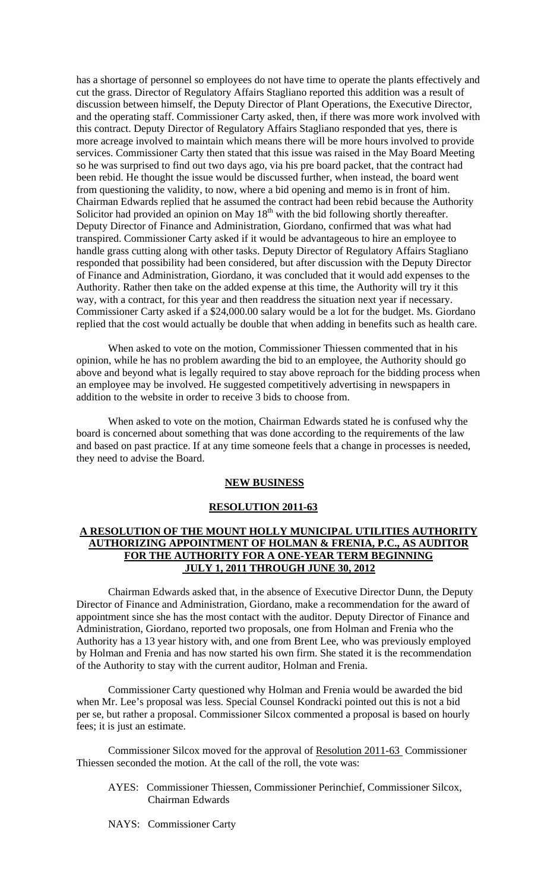has a shortage of personnel so employees do not have time to operate the plants effectively and cut the grass. Director of Regulatory Affairs Stagliano reported this addition was a result of discussion between himself, the Deputy Director of Plant Operations, the Executive Director, and the operating staff. Commissioner Carty asked, then, if there was more work involved with this contract. Deputy Director of Regulatory Affairs Stagliano responded that yes, there is more acreage involved to maintain which means there will be more hours involved to provide services. Commissioner Carty then stated that this issue was raised in the May Board Meeting so he was surprised to find out two days ago, via his pre board packet, that the contract had been rebid. He thought the issue would be discussed further, when instead, the board went from questioning the validity, to now, where a bid opening and memo is in front of him. Chairman Edwards replied that he assumed the contract had been rebid because the Authority Solicitor had provided an opinion on May  $18<sup>th</sup>$  with the bid following shortly thereafter. Deputy Director of Finance and Administration, Giordano, confirmed that was what had transpired. Commissioner Carty asked if it would be advantageous to hire an employee to handle grass cutting along with other tasks. Deputy Director of Regulatory Affairs Stagliano responded that possibility had been considered, but after discussion with the Deputy Director of Finance and Administration, Giordano, it was concluded that it would add expenses to the Authority. Rather then take on the added expense at this time, the Authority will try it this way, with a contract, for this year and then readdress the situation next year if necessary. Commissioner Carty asked if a \$24,000.00 salary would be a lot for the budget. Ms. Giordano replied that the cost would actually be double that when adding in benefits such as health care.

 When asked to vote on the motion, Commissioner Thiessen commented that in his opinion, while he has no problem awarding the bid to an employee, the Authority should go above and beyond what is legally required to stay above reproach for the bidding process when an employee may be involved. He suggested competitively advertising in newspapers in addition to the website in order to receive 3 bids to choose from.

 When asked to vote on the motion, Chairman Edwards stated he is confused why the board is concerned about something that was done according to the requirements of the law and based on past practice. If at any time someone feels that a change in processes is needed, they need to advise the Board.

#### **NEW BUSINESS**

### **RESOLUTION 2011-63**

## **A RESOLUTION OF THE MOUNT HOLLY MUNICIPAL UTILITIES AUTHORITY AUTHORIZING APPOINTMENT OF HOLMAN & FRENIA, P.C., AS AUDITOR FOR THE AUTHORITY FOR A ONE-YEAR TERM BEGINNING JULY 1, 2011 THROUGH JUNE 30, 2012**

 Chairman Edwards asked that, in the absence of Executive Director Dunn, the Deputy Director of Finance and Administration, Giordano, make a recommendation for the award of appointment since she has the most contact with the auditor. Deputy Director of Finance and Administration, Giordano, reported two proposals, one from Holman and Frenia who the Authority has a 13 year history with, and one from Brent Lee, who was previously employed by Holman and Frenia and has now started his own firm. She stated it is the recommendation of the Authority to stay with the current auditor, Holman and Frenia.

 Commissioner Carty questioned why Holman and Frenia would be awarded the bid when Mr. Lee's proposal was less. Special Counsel Kondracki pointed out this is not a bid per se, but rather a proposal. Commissioner Silcox commented a proposal is based on hourly fees; it is just an estimate.

Commissioner Silcox moved for the approval of Resolution 2011-63 Commissioner Thiessen seconded the motion. At the call of the roll, the vote was:

- AYES: Commissioner Thiessen, Commissioner Perinchief, Commissioner Silcox, Chairman Edwards
- NAYS: Commissioner Carty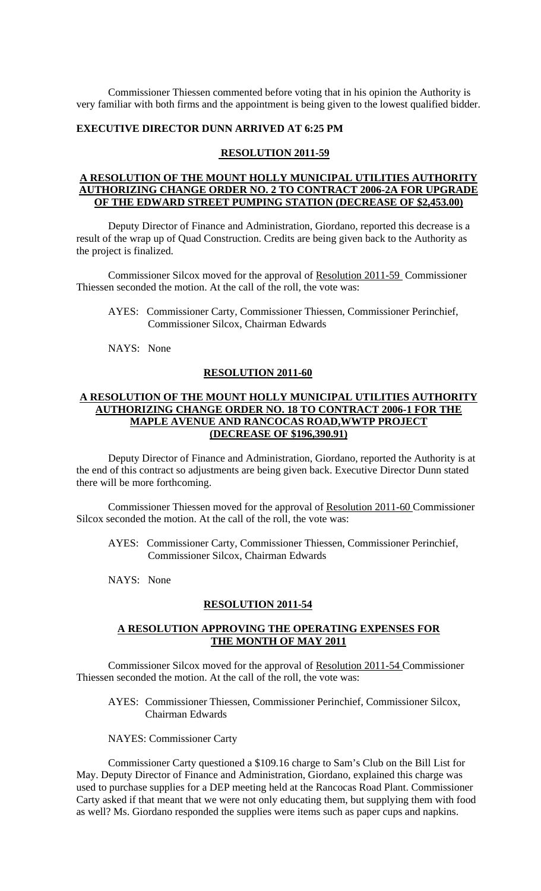Commissioner Thiessen commented before voting that in his opinion the Authority is very familiar with both firms and the appointment is being given to the lowest qualified bidder.

#### **EXECUTIVE DIRECTOR DUNN ARRIVED AT 6:25 PM**

#### **RESOLUTION 2011-59**

### **A RESOLUTION OF THE MOUNT HOLLY MUNICIPAL UTILITIES AUTHORITY AUTHORIZING CHANGE ORDER NO. 2 TO CONTRACT 2006-2A FOR UPGRADE OF THE EDWARD STREET PUMPING STATION (DECREASE OF \$2,453.00)**

 Deputy Director of Finance and Administration, Giordano, reported this decrease is a result of the wrap up of Quad Construction. Credits are being given back to the Authority as the project is finalized.

Commissioner Silcox moved for the approval of Resolution 2011-59 Commissioner Thiessen seconded the motion. At the call of the roll, the vote was:

- AYES: Commissioner Carty, Commissioner Thiessen, Commissioner Perinchief, Commissioner Silcox, Chairman Edwards
- NAYS: None

# **RESOLUTION 2011-60**

## **A RESOLUTION OF THE MOUNT HOLLY MUNICIPAL UTILITIES AUTHORITY AUTHORIZING CHANGE ORDER NO. 18 TO CONTRACT 2006-1 FOR THE MAPLE AVENUE AND RANCOCAS ROAD,WWTP PROJECT (DECREASE OF \$196,390.91)**

 Deputy Director of Finance and Administration, Giordano, reported the Authority is at the end of this contract so adjustments are being given back. Executive Director Dunn stated there will be more forthcoming.

Commissioner Thiessen moved for the approval of Resolution 2011-60 Commissioner Silcox seconded the motion. At the call of the roll, the vote was:

- AYES: Commissioner Carty, Commissioner Thiessen, Commissioner Perinchief, Commissioner Silcox, Chairman Edwards
- NAYS: None

#### **RESOLUTION 2011-54**

### **A RESOLUTION APPROVING THE OPERATING EXPENSES FOR THE MONTH OF MAY 2011**

Commissioner Silcox moved for the approval of Resolution 2011-54 Commissioner Thiessen seconded the motion. At the call of the roll, the vote was:

- AYES: Commissioner Thiessen, Commissioner Perinchief, Commissioner Silcox, Chairman Edwards
- NAYES: Commissioner Carty

 Commissioner Carty questioned a \$109.16 charge to Sam's Club on the Bill List for May. Deputy Director of Finance and Administration, Giordano, explained this charge was used to purchase supplies for a DEP meeting held at the Rancocas Road Plant. Commissioner Carty asked if that meant that we were not only educating them, but supplying them with food as well? Ms. Giordano responded the supplies were items such as paper cups and napkins.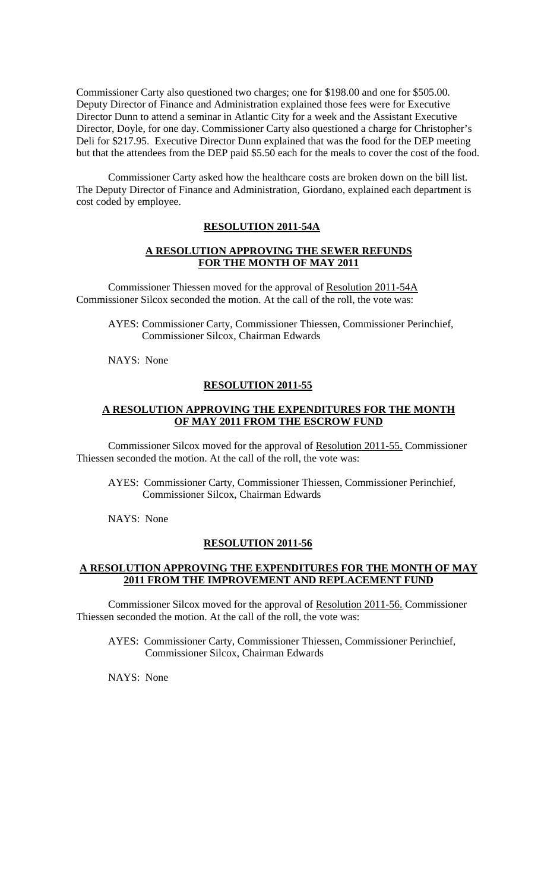Commissioner Carty also questioned two charges; one for \$198.00 and one for \$505.00. Deputy Director of Finance and Administration explained those fees were for Executive Director Dunn to attend a seminar in Atlantic City for a week and the Assistant Executive Director, Doyle, for one day. Commissioner Carty also questioned a charge for Christopher's Deli for \$217.95. Executive Director Dunn explained that was the food for the DEP meeting but that the attendees from the DEP paid \$5.50 each for the meals to cover the cost of the food.

Commissioner Carty asked how the healthcare costs are broken down on the bill list. The Deputy Director of Finance and Administration, Giordano, explained each department is cost coded by employee.

## **RESOLUTION 2011-54A**

### **A RESOLUTION APPROVING THE SEWER REFUNDS FOR THE MONTH OF MAY 2011**

Commissioner Thiessen moved for the approval of Resolution 2011-54A Commissioner Silcox seconded the motion. At the call of the roll, the vote was:

AYES: Commissioner Carty, Commissioner Thiessen, Commissioner Perinchief, Commissioner Silcox, Chairman Edwards

NAYS: None

### **RESOLUTION 2011-55**

## **A RESOLUTION APPROVING THE EXPENDITURES FOR THE MONTH OF MAY 2011 FROM THE ESCROW FUND**

Commissioner Silcox moved for the approval of Resolution 2011-55. Commissioner Thiessen seconded the motion. At the call of the roll, the vote was:

AYES: Commissioner Carty, Commissioner Thiessen, Commissioner Perinchief, Commissioner Silcox, Chairman Edwards

NAYS: None

## **RESOLUTION 2011-56**

### **A RESOLUTION APPROVING THE EXPENDITURES FOR THE MONTH OF MAY 2011 FROM THE IMPROVEMENT AND REPLACEMENT FUND**

Commissioner Silcox moved for the approval of Resolution 2011-56. Commissioner Thiessen seconded the motion. At the call of the roll, the vote was:

AYES: Commissioner Carty, Commissioner Thiessen, Commissioner Perinchief, Commissioner Silcox, Chairman Edwards

NAYS: None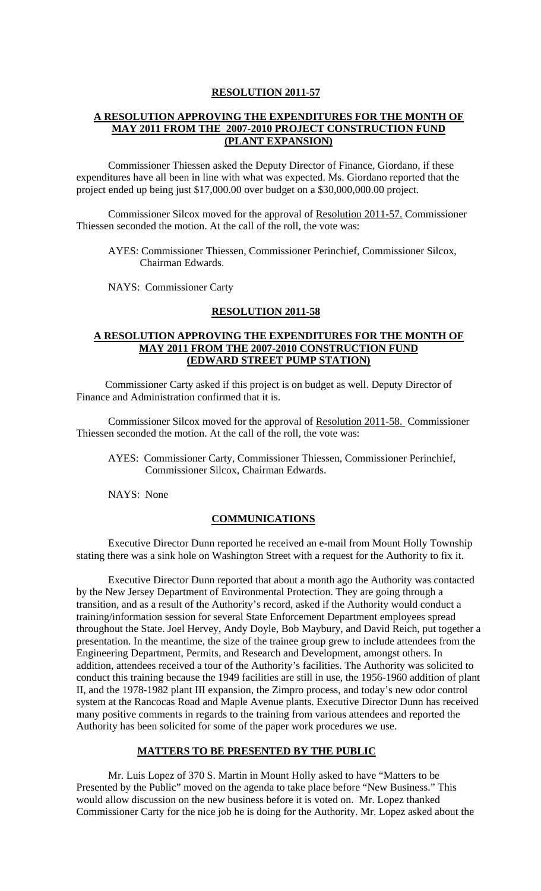#### **RESOLUTION 2011-57**

## **A RESOLUTION APPROVING THE EXPENDITURES FOR THE MONTH OF MAY 2011 FROM THE 2007-2010 PROJECT CONSTRUCTION FUND (PLANT EXPANSION)**

 Commissioner Thiessen asked the Deputy Director of Finance, Giordano, if these expenditures have all been in line with what was expected. Ms. Giordano reported that the project ended up being just \$17,000.00 over budget on a \$30,000,000.00 project.

Commissioner Silcox moved for the approval of Resolution 2011-57. Commissioner Thiessen seconded the motion. At the call of the roll, the vote was:

AYES: Commissioner Thiessen, Commissioner Perinchief, Commissioner Silcox, Chairman Edwards.

NAYS: Commissioner Carty

### **RESOLUTION 2011-58**

## **A RESOLUTION APPROVING THE EXPENDITURES FOR THE MONTH OF MAY 2011 FROM THE 2007-2010 CONSTRUCTION FUND (EDWARD STREET PUMP STATION)**

Commissioner Carty asked if this project is on budget as well. Deputy Director of Finance and Administration confirmed that it is.

Commissioner Silcox moved for the approval of Resolution 2011-58. Commissioner Thiessen seconded the motion. At the call of the roll, the vote was:

AYES: Commissioner Carty, Commissioner Thiessen, Commissioner Perinchief, Commissioner Silcox, Chairman Edwards.

NAYS: None

#### **COMMUNICATIONS**

 Executive Director Dunn reported he received an e-mail from Mount Holly Township stating there was a sink hole on Washington Street with a request for the Authority to fix it.

 Executive Director Dunn reported that about a month ago the Authority was contacted by the New Jersey Department of Environmental Protection. They are going through a transition, and as a result of the Authority's record, asked if the Authority would conduct a training/information session for several State Enforcement Department employees spread throughout the State. Joel Hervey, Andy Doyle, Bob Maybury, and David Reich, put together a presentation. In the meantime, the size of the trainee group grew to include attendees from the Engineering Department, Permits, and Research and Development, amongst others. In addition, attendees received a tour of the Authority's facilities. The Authority was solicited to conduct this training because the 1949 facilities are still in use, the 1956-1960 addition of plant II, and the 1978-1982 plant III expansion, the Zimpro process, and today's new odor control system at the Rancocas Road and Maple Avenue plants. Executive Director Dunn has received many positive comments in regards to the training from various attendees and reported the Authority has been solicited for some of the paper work procedures we use.

### **MATTERS TO BE PRESENTED BY THE PUBLIC**

Mr. Luis Lopez of 370 S. Martin in Mount Holly asked to have "Matters to be Presented by the Public" moved on the agenda to take place before "New Business." This would allow discussion on the new business before it is voted on. Mr. Lopez thanked Commissioner Carty for the nice job he is doing for the Authority. Mr. Lopez asked about the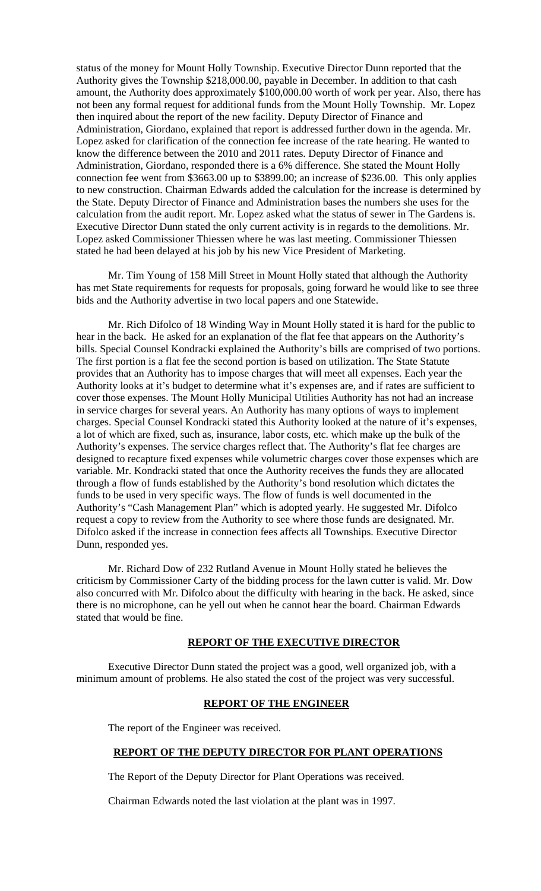status of the money for Mount Holly Township. Executive Director Dunn reported that the Authority gives the Township \$218,000.00, payable in December. In addition to that cash amount, the Authority does approximately \$100,000.00 worth of work per year. Also, there has not been any formal request for additional funds from the Mount Holly Township. Mr. Lopez then inquired about the report of the new facility. Deputy Director of Finance and Administration, Giordano, explained that report is addressed further down in the agenda. Mr. Lopez asked for clarification of the connection fee increase of the rate hearing. He wanted to know the difference between the 2010 and 2011 rates. Deputy Director of Finance and Administration, Giordano, responded there is a 6% difference. She stated the Mount Holly connection fee went from \$3663.00 up to \$3899.00; an increase of \$236.00. This only applies to new construction. Chairman Edwards added the calculation for the increase is determined by the State. Deputy Director of Finance and Administration bases the numbers she uses for the calculation from the audit report. Mr. Lopez asked what the status of sewer in The Gardens is. Executive Director Dunn stated the only current activity is in regards to the demolitions. Mr. Lopez asked Commissioner Thiessen where he was last meeting. Commissioner Thiessen stated he had been delayed at his job by his new Vice President of Marketing.

Mr. Tim Young of 158 Mill Street in Mount Holly stated that although the Authority has met State requirements for requests for proposals, going forward he would like to see three bids and the Authority advertise in two local papers and one Statewide.

Mr. Rich Difolco of 18 Winding Way in Mount Holly stated it is hard for the public to hear in the back. He asked for an explanation of the flat fee that appears on the Authority's bills. Special Counsel Kondracki explained the Authority's bills are comprised of two portions. The first portion is a flat fee the second portion is based on utilization. The State Statute provides that an Authority has to impose charges that will meet all expenses. Each year the Authority looks at it's budget to determine what it's expenses are, and if rates are sufficient to cover those expenses. The Mount Holly Municipal Utilities Authority has not had an increase in service charges for several years. An Authority has many options of ways to implement charges. Special Counsel Kondracki stated this Authority looked at the nature of it's expenses, a lot of which are fixed, such as, insurance, labor costs, etc. which make up the bulk of the Authority's expenses. The service charges reflect that. The Authority's flat fee charges are designed to recapture fixed expenses while volumetric charges cover those expenses which are variable. Mr. Kondracki stated that once the Authority receives the funds they are allocated through a flow of funds established by the Authority's bond resolution which dictates the funds to be used in very specific ways. The flow of funds is well documented in the Authority's "Cash Management Plan" which is adopted yearly. He suggested Mr. Difolco request a copy to review from the Authority to see where those funds are designated. Mr. Difolco asked if the increase in connection fees affects all Townships. Executive Director Dunn, responded yes.

Mr. Richard Dow of 232 Rutland Avenue in Mount Holly stated he believes the criticism by Commissioner Carty of the bidding process for the lawn cutter is valid. Mr. Dow also concurred with Mr. Difolco about the difficulty with hearing in the back. He asked, since there is no microphone, can he yell out when he cannot hear the board. Chairman Edwards stated that would be fine.

# **REPORT OF THE EXECUTIVE DIRECTOR**

Executive Director Dunn stated the project was a good, well organized job, with a minimum amount of problems. He also stated the cost of the project was very successful.

#### **REPORT OF THE ENGINEER**

The report of the Engineer was received.

# **REPORT OF THE DEPUTY DIRECTOR FOR PLANT OPERATIONS**

The Report of the Deputy Director for Plant Operations was received.

Chairman Edwards noted the last violation at the plant was in 1997.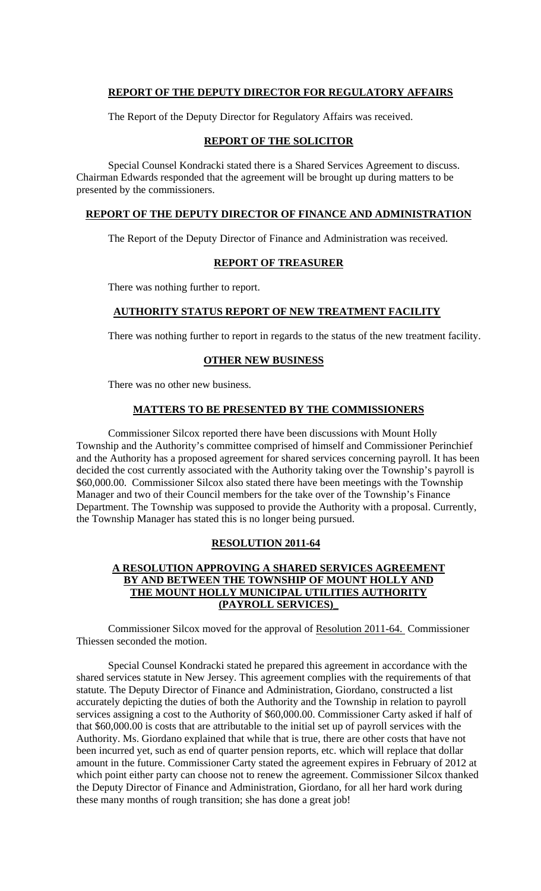## **REPORT OF THE DEPUTY DIRECTOR FOR REGULATORY AFFAIRS**

The Report of the Deputy Director for Regulatory Affairs was received.

# **REPORT OF THE SOLICITOR**

 Special Counsel Kondracki stated there is a Shared Services Agreement to discuss. Chairman Edwards responded that the agreement will be brought up during matters to be presented by the commissioners.

## **REPORT OF THE DEPUTY DIRECTOR OF FINANCE AND ADMINISTRATION**

The Report of the Deputy Director of Finance and Administration was received.

## **REPORT OF TREASURER**

There was nothing further to report.

### **AUTHORITY STATUS REPORT OF NEW TREATMENT FACILITY**

There was nothing further to report in regards to the status of the new treatment facility.

## **OTHER NEW BUSINESS**

There was no other new business.

## **MATTERS TO BE PRESENTED BY THE COMMISSIONERS**

 Commissioner Silcox reported there have been discussions with Mount Holly Township and the Authority's committee comprised of himself and Commissioner Perinchief and the Authority has a proposed agreement for shared services concerning payroll. It has been decided the cost currently associated with the Authority taking over the Township's payroll is \$60,000.00. Commissioner Silcox also stated there have been meetings with the Township Manager and two of their Council members for the take over of the Township's Finance Department. The Township was supposed to provide the Authority with a proposal. Currently, the Township Manager has stated this is no longer being pursued.

#### **RESOLUTION 2011-64**

## **A RESOLUTION APPROVING A SHARED SERVICES AGREEMENT BY AND BETWEEN THE TOWNSHIP OF MOUNT HOLLY AND THE MOUNT HOLLY MUNICIPAL UTILITIES AUTHORITY (PAYROLL SERVICES)\_**

Commissioner Silcox moved for the approval of Resolution 2011-64. Commissioner Thiessen seconded the motion.

Special Counsel Kondracki stated he prepared this agreement in accordance with the shared services statute in New Jersey. This agreement complies with the requirements of that statute. The Deputy Director of Finance and Administration, Giordano, constructed a list accurately depicting the duties of both the Authority and the Township in relation to payroll services assigning a cost to the Authority of \$60,000.00. Commissioner Carty asked if half of that \$60,000.00 is costs that are attributable to the initial set up of payroll services with the Authority. Ms. Giordano explained that while that is true, there are other costs that have not been incurred yet, such as end of quarter pension reports, etc. which will replace that dollar amount in the future. Commissioner Carty stated the agreement expires in February of 2012 at which point either party can choose not to renew the agreement. Commissioner Silcox thanked the Deputy Director of Finance and Administration, Giordano, for all her hard work during these many months of rough transition; she has done a great job!